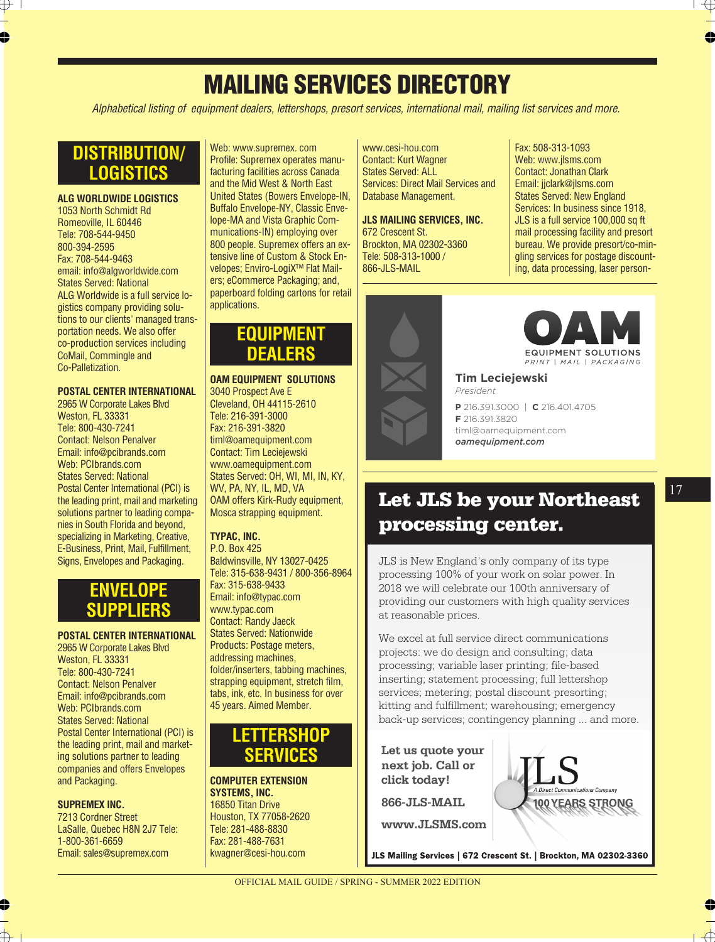# **MAILING SERVICES DIRECTORY MAILING SERVICES DIRECTORY**

Alphabetical listing of equipment dealers, lettershops, presort services, international mail, mailing list services and more<br>.

# **DISTRIBUTION/ LOGISTICS**

**ALG WORLDWIDE LOGISTICS** 1053 North Schmidt Rd Romeoville, IL 60446 Tele: 708-544-9450 800-394-2595 Fax: 708-544-9463 email: info@algworldwide.com States Served: National ALG Worldwide is a full service logistics company providing solutions to our clients' managed transportation needs. We also offer co-production services including CoMail, Commingle and Co-Palletization.

### **POSTAL CENTER INTERNATIONAL**

2965 W Corporate Lakes Blvd Weston, FL 33331 Tele: 800-430-7241 Contact: Nelson Penalver Email: info@pcibrands.com Web: PCIbrands.com States Served: National Postal Center International (PCI) is the leading print, mail and marketing solutions partner to leading companies in South Florida and beyond, specializing in Marketing, Creative, E-Business, Print, Mail, Fulfillment, Signs, Envelopes and Packaging.

# **ENVELOPE SUPPLIERS**

### **POSTAL CENTER INTERNATIONAL**

2965 W Corporate Lakes Blvd Weston, FL 33331 Tele: 800-430-7241 Contact: Nelson Penalver Email: info@pcibrands.com Web: PCIbrands.com States Served: National Postal Center International (PCI) is the leading print, mail and marketing solutions partner to leading companies and offers Envelopes and Packaging.

### **SUPREMEX INC.**

7213 Cordner Street LaSalle, Quebec H8N 2J7 Tele: 1-800-361-6659 Email: sales@supremex.com

Web: www.supremex. com Profile: Supremex operates manufacturing facilities across Canada and the Mid West & North East United States (Bowers Envelope-IN, Buffalo Envelope-NY, Classic Envelope-MA and Vista Graphic Communications-IN) employing over 800 people. Supremex offers an extensive line of Custom & Stock Envelopes; Enviro-LogiX™ Flat Mailers; eCommerce Packaging; and, paperboard folding cartons for retail applications.

## **EQUIPMENT DEALERS**

### **OAM EQUIPMENT SOLUTIONS** 3040 Prospect Ave E Cleveland, OH 44115-2610 Tele: 216-391-3000 Fax: 216-391-3820 timl@oamequipment.com Contact: Tim Leciejewski www.oamequipment.com States Served: OH, WI, MI, IN, KY, WV, PA, NY, IL, MD, VA

WV, PA, NY, IL, MD, VA<br>OAM offers Kirk-Rudy equipment, Mosca strapping equipment.

### **TYPAC, INC.**

P.O. Box 425 Baldwinsville, NY 13027-0425 Tele: 315-638-9431 / 800-356-8964 Fax: 315-638-9433 Email: info@typac.com www.typac.com Contact: Randy Jaeck States Served: Nationwide Products: Postage meters, addressing machines, folder/inserters, tabbing machines, strapping equipment, stretch film, tabs, ink, etc. In business for over 45 years. Aimed Member.

## **LETTERSHOP SERVICES**

**COMPUTER EXTENSION SYSTEMS, INC.** 16850 Titan Drive

Houston, TX 77058-2620 Tele: 281-488-8830 Fax: 281-488-7631 kwagner@cesi-hou.com

www.cesi-hou.com **SERVICES** Contact: Kurt Wagner **Somade: Nait Wagnon**<br>States Served: ALL **SERVICES: Direct Mail Services and** Database Management.

**JLS MAILING SERVICES, INC.** 672 Crescent St. Brockton, MA 02302-3360 Tele: 508-313-1000 / 866-JLS-MAIL Email: maxh@autodirectmail.com

States Served: Nationwide

West Palm Beach, FL 33404

Fax: 508-313-1093 Web: www.jlsms.com Contact: Jonathan Clark Email: jjclark@jlsms.com States Served: New England Services: In business since 1918, JLS is a full service 100,000 sq ft mail processing facility and presort bureau. We provide presort/co-mingling services for postage discounting, data processing, laser person-





addressing, folding and inserting

**P** 216.391.3000 | **C** 216.401.4705 **P** 216.391.3000 | **C** 216.401.4705<br>**P** 216.301.3820 Midwest Direct helps clients timl@oamequipment.com create and deliver over 2.4 million *oamequipment.com***F** 216.391.3820

# **Let JLS be your Northeast processing center.**

JLS is New England's only company of its type processing 100% of your work on solar power. In 2018 we will celebrate our 100th anniversary of providing our customers with high quality services at reasonable prices.

We excel at full service direct communications projects: we do design and consulting; data processing; variable laser printing; file-based inserting; statement processing; full lettershop services; metering; postal discount presorting; kitting and fulfillment; warehousing; emergency back-up services; contingency planning ... and more. **Fraction:**<br>
Praction<br>
Praction.<br>
Praction.<br> **F**216.391.3620<br> **F**216.391.3620<br> **omequipment.com**<br> **omequipment.com**<br> **omequipment.com**<br> **omequipment.com**<br> **omequipment.com**<br> **omequipment.com**<br> **omequipment.com**<br> **omequipme** 

**Let us quote your next job. Call or click today! 866-JLS-MAIL www.JLSMS.com**